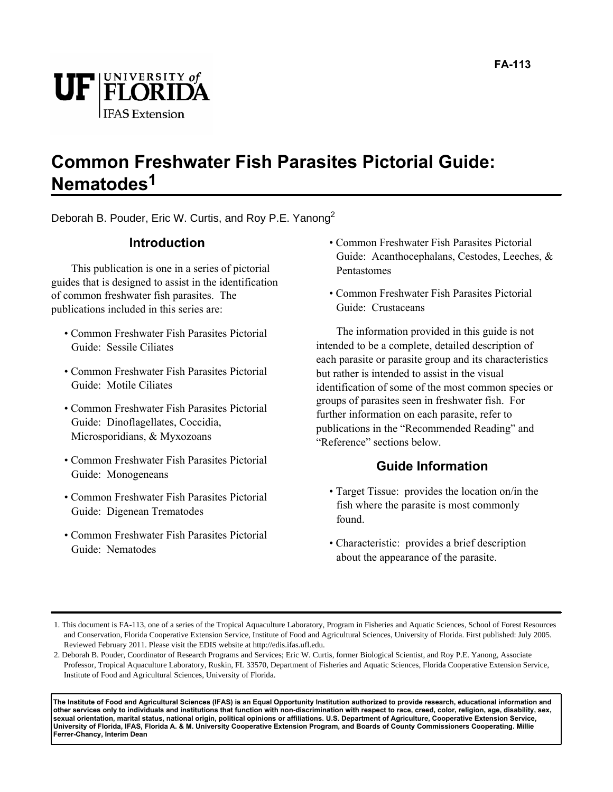

#### **Common Freshwater Fish Parasites Pictorial Guide: Nematodes1**

Deborah B. Pouder, Eric W. Curtis, and Roy P.E. Yanong<sup>2</sup>

#### **Introduction**

This publication is one in a series of pictorial guides that is designed to assist in the identification of common freshwater fish parasites. The publications included in this series are:

- Common Freshwater Fish Parasites Pictorial Guide: Sessile Ciliates
- Common Freshwater Fish Parasites Pictorial Guide: Motile Ciliates
- Common Freshwater Fish Parasites Pictorial Guide: Dinoflagellates, Coccidia, Microsporidians, & Myxozoans
- Common Freshwater Fish Parasites Pictorial Guide: Monogeneans
- Common Freshwater Fish Parasites Pictorial Guide: Digenean Trematodes
- Common Freshwater Fish Parasites Pictorial Guide: Nematodes
- Common Freshwater Fish Parasites Pictorial Guide: Acanthocephalans, Cestodes, Leeches, & Pentastomes
- Common Freshwater Fish Parasites Pictorial Guide: Crustaceans

The information provided in this guide is not intended to be a complete, detailed description of each parasite or parasite group and its characteristics but rather is intended to assist in the visual identification of some of the most common species or groups of parasites seen in freshwater fish. For further information on each parasite, refer to publications in the "Recommended Reading" and "Reference" sections below.

#### **Guide Information**

- Target Tissue: provides the location on/in the fish where the parasite is most commonly found.
- Characteristic: provides a brief description about the appearance of the parasite.

**The Institute of Food and Agricultural Sciences (IFAS) is an Equal Opportunity Institution authorized to provide research, educational information and other services only to individuals and institutions that function with non-discrimination with respect to race, creed, color, religion, age, disability, sex, sexual orientation, marital status, national origin, political opinions or affiliations. U.S. Department of Agriculture, Cooperative Extension Service, University of Florida, IFAS, Florida A. & M. University Cooperative Extension Program, and Boards of County Commissioners Cooperating. Millie Ferrer-Chancy, Interim Dean**

<sup>1.</sup> This document is FA-113, one of a series of the Tropical Aquaculture Laboratory, Program in Fisheries and Aquatic Sciences, School of Forest Resources and Conservation, Florida Cooperative Extension Service, Institute of Food and Agricultural Sciences, University of Florida. First published: July 2005. Reviewed February 2011. Please visit the EDIS website at http://edis.ifas.ufl.edu.

<sup>2.</sup> Deborah B. Pouder, Coordinator of Research Programs and Services; Eric W. Curtis, former Biological Scientist, and Roy P.E. Yanong, Associate Professor, Tropical Aquaculture Laboratory, Ruskin, FL 33570, Department of Fisheries and Aquatic Sciences, Florida Cooperative Extension Service, Institute of Food and Agricultural Sciences, University of Florida.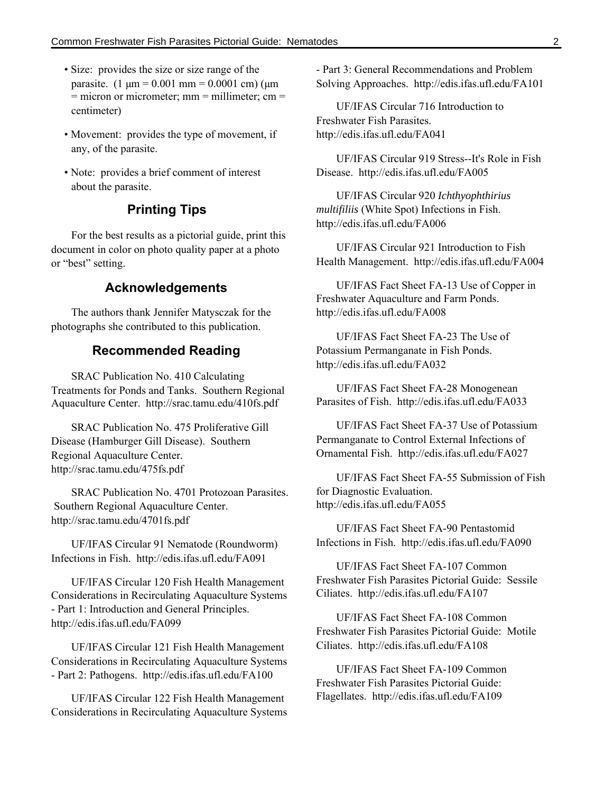- Size: provides the size or size range of the parasite.  $(1 \text{ µm} = 0.001 \text{ mm} = 0.0001 \text{ cm})$  ( $\text{µm}$ )  $=$  micron or micrometer; mm  $=$  millimeter; cm  $=$ centimeter)
- Movement: provides the type of movement, if any, of the parasite.
- Note: provides a brief comment of interest about the parasite.

#### **Printing Tips**

For the best results as a pictorial guide, print this document in color on photo quality paper at a photo or "best" setting.

#### **Acknowledgements**

The authors thank Jennifer Matysczak for the photographs she contributed to this publication.

#### **Recommended Reading**

SRAC Publication No. 410 Calculating Treatments for Ponds and Tanks. Southern Regional Aquaculture Center. http://srac.tamu.edu/410fs.pdf

SRAC Publication No. 475 Proliferative Gill Disease (Hamburger Gill Disease). Southern Regional Aquaculture Center. http://srac.tamu.edu/475fs.pdf

SRAC Publication No. 4701 Protozoan Parasites. Southern Regional Aquaculture Center. http://srac.tamu.edu/4701fs.pdf

UF/IFAS Circular 91 Nematode (Roundworm) Infections in Fish. http://edis.ifas.ufl.edu/FA091

UF/IFAS Circular 120 Fish Health Management Considerations in Recirculating Aquaculture Systems - Part 1: Introduction and General Principles. http://edis.ifas.ufl.edu/FA099

UF/IFAS Circular 121 Fish Health Management Considerations in Recirculating Aquaculture Systems - Part 2: Pathogens. http://edis.ifas.ufl.edu/FA100

UF/IFAS Circular 122 Fish Health Management Considerations in Recirculating Aquaculture Systems - Part 3: General Recommendations and Problem Solving Approaches. http://edis.ifas.ufl.edu/FA101

UF/IFAS Circular 716 Introduction to Freshwater Fish Parasites. http://edis.ifas.ufl.edu/FA041

UF/IFAS Circular 919 Stress--It's Role in Fish Disease. http://edis.ifas.ufl.edu/FA005

UF/IFAS Circular 920 *Ichthyophthirius multifiliis* (White Spot) Infections in Fish. http://edis.ifas.ufl.edu/FA006

UF/IFAS Circular 921 Introduction to Fish Health Management. http://edis.ifas.ufl.edu/FA004

UF/IFAS Fact Sheet FA-13 Use of Copper in Freshwater Aquaculture and Farm Ponds. http://edis.ifas.ufl.edu/FA008

UF/IFAS Fact Sheet FA-23 The Use of Potassium Permanganate in Fish Ponds. http://edis.ifas.ufl.edu/FA032

UF/IFAS Fact Sheet FA-28 Monogenean Parasites of Fish. http://edis.ifas.ufl.edu/FA033

UF/IFAS Fact Sheet FA-37 Use of Potassium Permanganate to Control External Infections of Ornamental Fish. http://edis.ifas.ufl.edu/FA027

UF/IFAS Fact Sheet FA-55 Submission of Fish for Diagnostic Evaluation. http://edis.ifas.ufl.edu/FA055

UF/IFAS Fact Sheet FA-90 Pentastomid Infections in Fish. http://edis.ifas.ufl.edu/FA090

UF/IFAS Fact Sheet FA-107 Common Freshwater Fish Parasites Pictorial Guide: Sessile Ciliates. http://edis.ifas.ufl.edu/FA107

UF/IFAS Fact Sheet FA-108 Common Freshwater Fish Parasites Pictorial Guide: Motile Ciliates. http://edis.ifas.ufl.edu/FA108

UF/IFAS Fact Sheet FA-109 Common Freshwater Fish Parasites Pictorial Guide: Flagellates. http://edis.ifas.ufl.edu/FA109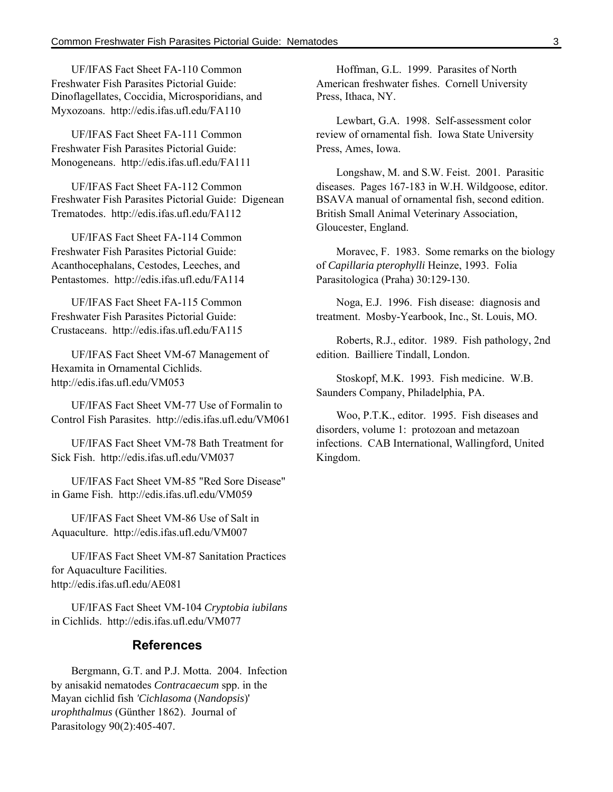UF/IFAS Fact Sheet FA-110 Common Freshwater Fish Parasites Pictorial Guide: Dinoflagellates, Coccidia, Microsporidians, and Myxozoans. http://edis.ifas.ufl.edu/FA110

UF/IFAS Fact Sheet FA-111 Common Freshwater Fish Parasites Pictorial Guide: Monogeneans. http://edis.ifas.ufl.edu/FA111

UF/IFAS Fact Sheet FA-112 Common Freshwater Fish Parasites Pictorial Guide: Digenean Trematodes. http://edis.ifas.ufl.edu/FA112

UF/IFAS Fact Sheet FA-114 Common Freshwater Fish Parasites Pictorial Guide: Acanthocephalans, Cestodes, Leeches, and Pentastomes. http://edis.ifas.ufl.edu/FA114

UF/IFAS Fact Sheet FA-115 Common Freshwater Fish Parasites Pictorial Guide: Crustaceans. http://edis.ifas.ufl.edu/FA115

UF/IFAS Fact Sheet VM-67 Management of Hexamita in Ornamental Cichlids. http://edis.ifas.ufl.edu/VM053

UF/IFAS Fact Sheet VM-77 Use of Formalin to Control Fish Parasites. http://edis.ifas.ufl.edu/VM061

UF/IFAS Fact Sheet VM-78 Bath Treatment for Sick Fish. http://edis.ifas.ufl.edu/VM037

UF/IFAS Fact Sheet VM-85 "Red Sore Disease" in Game Fish. http://edis.ifas.ufl.edu/VM059

UF/IFAS Fact Sheet VM-86 Use of Salt in Aquaculture. http://edis.ifas.ufl.edu/VM007

UF/IFAS Fact Sheet VM-87 Sanitation Practices for Aquaculture Facilities. http://edis.ifas.ufl.edu/AE081

UF/IFAS Fact Sheet VM-104 *Cryptobia iubilans* in Cichlids. http://edis.ifas.ufl.edu/VM077

#### **References**

Bergmann, G.T. and P.J. Motta. 2004. Infection by anisakid nematodes *Contracaecum* spp. in the Mayan cichlid fish *'Cichlasoma* (*Nandopsis*)' *urophthalmus* (Günther 1862). Journal of Parasitology 90(2):405-407.

Hoffman, G.L. 1999. Parasites of North American freshwater fishes. Cornell University Press, Ithaca, NY.

Lewbart, G.A. 1998. Self-assessment color review of ornamental fish. Iowa State University Press, Ames, Iowa.

Longshaw, M. and S.W. Feist. 2001. Parasitic diseases. Pages 167-183 in W.H. Wildgoose, editor. BSAVA manual of ornamental fish, second edition. British Small Animal Veterinary Association, Gloucester, England.

Moravec, F. 1983. Some remarks on the biology of *Capillaria pterophylli* Heinze, 1993. Folia Parasitologica (Praha) 30:129-130.

Noga, E.J. 1996. Fish disease: diagnosis and treatment. Mosby-Yearbook, Inc., St. Louis, MO.

Roberts, R.J., editor. 1989. Fish pathology, 2nd edition. Bailliere Tindall, London.

Stoskopf, M.K. 1993. Fish medicine. W.B. Saunders Company, Philadelphia, PA.

Woo, P.T.K., editor. 1995. Fish diseases and disorders, volume 1: protozoan and metazoan infections. CAB International, Wallingford, United Kingdom.